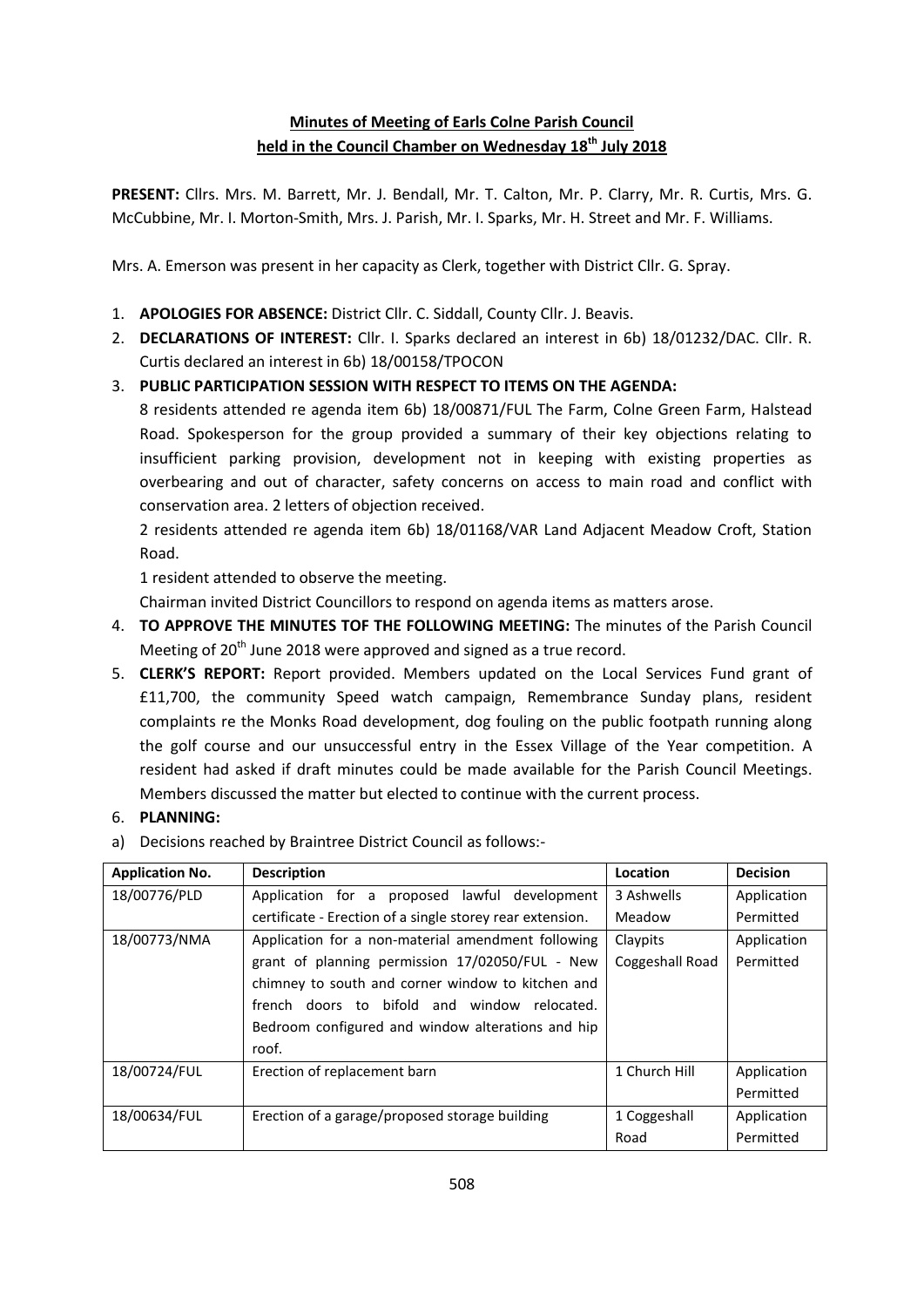## **Minutes of Meeting of Earls Colne Parish Council held in the Council Chamber on Wednesday 18th July 2018**

**PRESENT:** Cllrs. Mrs. M. Barrett, Mr. J. Bendall, Mr. T. Calton, Mr. P. Clarry, Mr. R. Curtis, Mrs. G. McCubbine, Mr. I. Morton-Smith, Mrs. J. Parish, Mr. I. Sparks, Mr. H. Street and Mr. F. Williams.

Mrs. A. Emerson was present in her capacity as Clerk, together with District Cllr. G. Spray.

- 1. **APOLOGIES FOR ABSENCE:** District Cllr. C. Siddall, County Cllr. J. Beavis.
- 2. **DECLARATIONS OF INTEREST:** Cllr. I. Sparks declared an interest in 6b) 18/01232/DAC. Cllr. R. Curtis declared an interest in 6b) 18/00158/TPOCON

## 3. **PUBLIC PARTICIPATION SESSION WITH RESPECT TO ITEMS ON THE AGENDA:**

8 residents attended re agenda item 6b) 18/00871/FUL The Farm, Colne Green Farm, Halstead Road. Spokesperson for the group provided a summary of their key objections relating to insufficient parking provision, development not in keeping with existing properties as overbearing and out of character, safety concerns on access to main road and conflict with conservation area. 2 letters of objection received.

2 residents attended re agenda item 6b) 18/01168/VAR Land Adjacent Meadow Croft, Station Road.

1 resident attended to observe the meeting.

Chairman invited District Councillors to respond on agenda items as matters arose.

- 4. **TO APPROVE THE MINUTES TOF THE FOLLOWING MEETING:** The minutes of the Parish Council Meeting of 20<sup>th</sup> June 2018 were approved and signed as a true record.
- 5. **CLERK'S REPORT:** Report provided. Members updated on the Local Services Fund grant of £11,700, the community Speed watch campaign, Remembrance Sunday plans, resident complaints re the Monks Road development, dog fouling on the public footpath running along the golf course and our unsuccessful entry in the Essex Village of the Year competition. A resident had asked if draft minutes could be made available for the Parish Council Meetings. Members discussed the matter but elected to continue with the current process.

## 6. **PLANNING:**

a) Decisions reached by Braintree District Council as follows:-

| <b>Application No.</b> | <b>Description</b>                                        | Location        | <b>Decision</b> |
|------------------------|-----------------------------------------------------------|-----------------|-----------------|
| 18/00776/PLD           | Application for a proposed lawful development             | 3 Ashwells      | Application     |
|                        | certificate - Erection of a single storey rear extension. | Meadow          | Permitted       |
| 18/00773/NMA           | Claypits                                                  | Application     |                 |
|                        | grant of planning permission 17/02050/FUL - New           | Coggeshall Road | Permitted       |
|                        | chimney to south and corner window to kitchen and         |                 |                 |
|                        | french doors to bifold and window relocated.              |                 |                 |
|                        | Bedroom configured and window alterations and hip         |                 |                 |
|                        | roof.                                                     |                 |                 |
| 18/00724/FUL           | Erection of replacement barn                              | 1 Church Hill   | Application     |
|                        |                                                           |                 | Permitted       |
| 18/00634/FUL           | Erection of a garage/proposed storage building            | 1 Coggeshall    | Application     |
|                        |                                                           | Road            | Permitted       |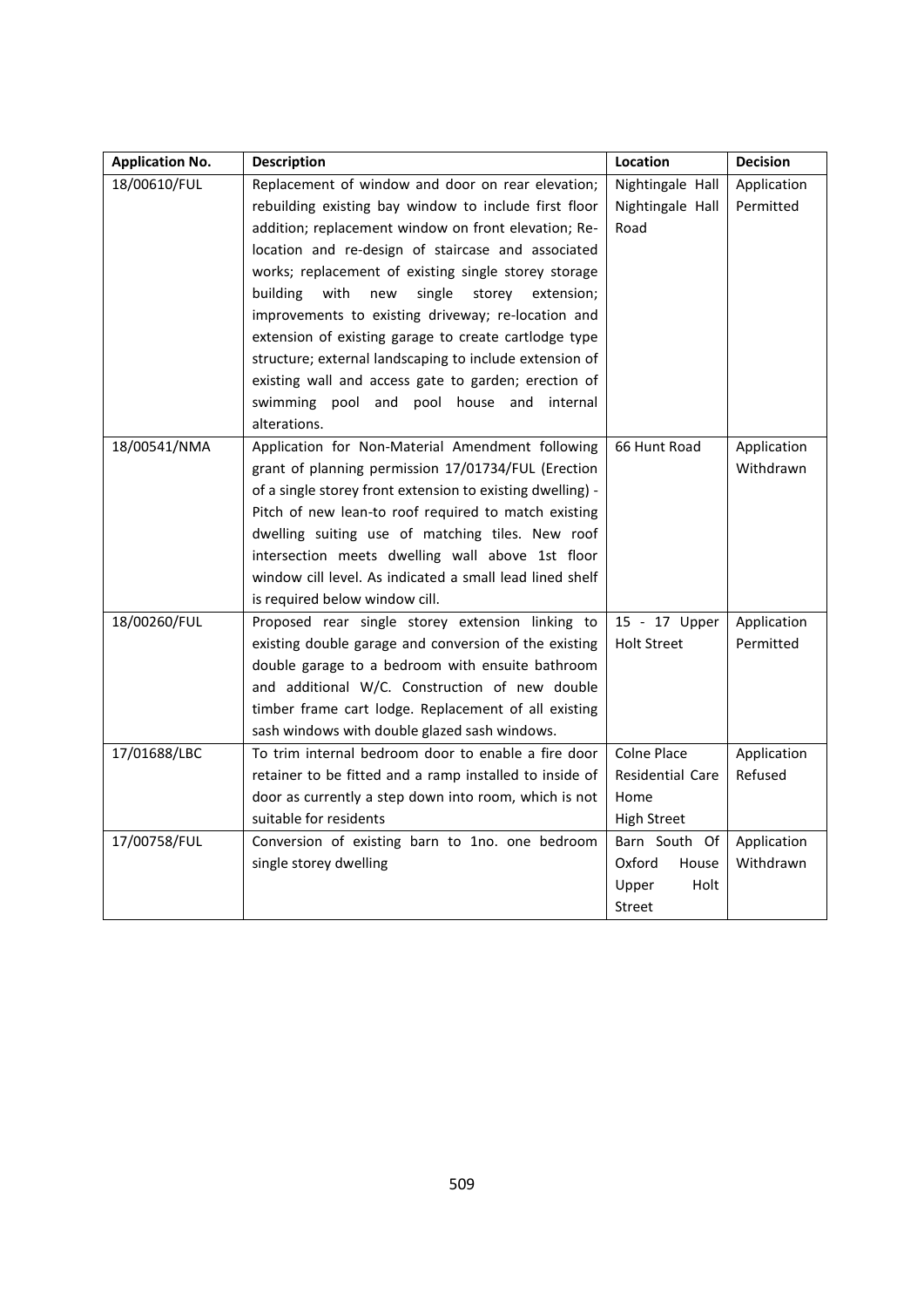| <b>Application No.</b> | <b>Description</b>                                         | Location                | <b>Decision</b> |
|------------------------|------------------------------------------------------------|-------------------------|-----------------|
| 18/00610/FUL           | Replacement of window and door on rear elevation;          | Nightingale Hall        | Application     |
|                        | rebuilding existing bay window to include first floor      | Nightingale Hall        | Permitted       |
|                        | addition; replacement window on front elevation; Re-       | Road                    |                 |
|                        | location and re-design of staircase and associated         |                         |                 |
|                        | works; replacement of existing single storey storage       |                         |                 |
|                        | building<br>with<br>single<br>new<br>storey<br>extension;  |                         |                 |
|                        | improvements to existing driveway; re-location and         |                         |                 |
|                        | extension of existing garage to create cartlodge type      |                         |                 |
|                        | structure; external landscaping to include extension of    |                         |                 |
|                        | existing wall and access gate to garden; erection of       |                         |                 |
|                        | swimming pool and pool house and internal                  |                         |                 |
|                        | alterations.                                               |                         |                 |
| 18/00541/NMA           | Application for Non-Material Amendment following           | 66 Hunt Road            | Application     |
|                        | grant of planning permission 17/01734/FUL (Erection        |                         | Withdrawn       |
|                        | of a single storey front extension to existing dwelling) - |                         |                 |
|                        | Pitch of new lean-to roof required to match existing       |                         |                 |
|                        | dwelling suiting use of matching tiles. New roof           |                         |                 |
|                        | intersection meets dwelling wall above 1st floor           |                         |                 |
|                        | window cill level. As indicated a small lead lined shelf   |                         |                 |
|                        | is required below window cill.                             |                         |                 |
| 18/00260/FUL           | Proposed rear single storey extension linking to           | 15 - 17 Upper           | Application     |
|                        | existing double garage and conversion of the existing      | <b>Holt Street</b>      | Permitted       |
|                        | double garage to a bedroom with ensuite bathroom           |                         |                 |
|                        | and additional W/C. Construction of new double             |                         |                 |
|                        | timber frame cart lodge. Replacement of all existing       |                         |                 |
|                        | sash windows with double glazed sash windows.              |                         |                 |
| 17/01688/LBC           | To trim internal bedroom door to enable a fire door        | <b>Colne Place</b>      | Application     |
|                        | retainer to be fitted and a ramp installed to inside of    | <b>Residential Care</b> | Refused         |
|                        | door as currently a step down into room, which is not      | Home                    |                 |
|                        | suitable for residents                                     | <b>High Street</b>      |                 |
| 17/00758/FUL           | Conversion of existing barn to 1no. one bedroom            | Barn South Of           | Application     |
|                        | single storey dwelling                                     | Oxford<br>House         | Withdrawn       |
|                        |                                                            | Upper<br>Holt           |                 |
|                        |                                                            | <b>Street</b>           |                 |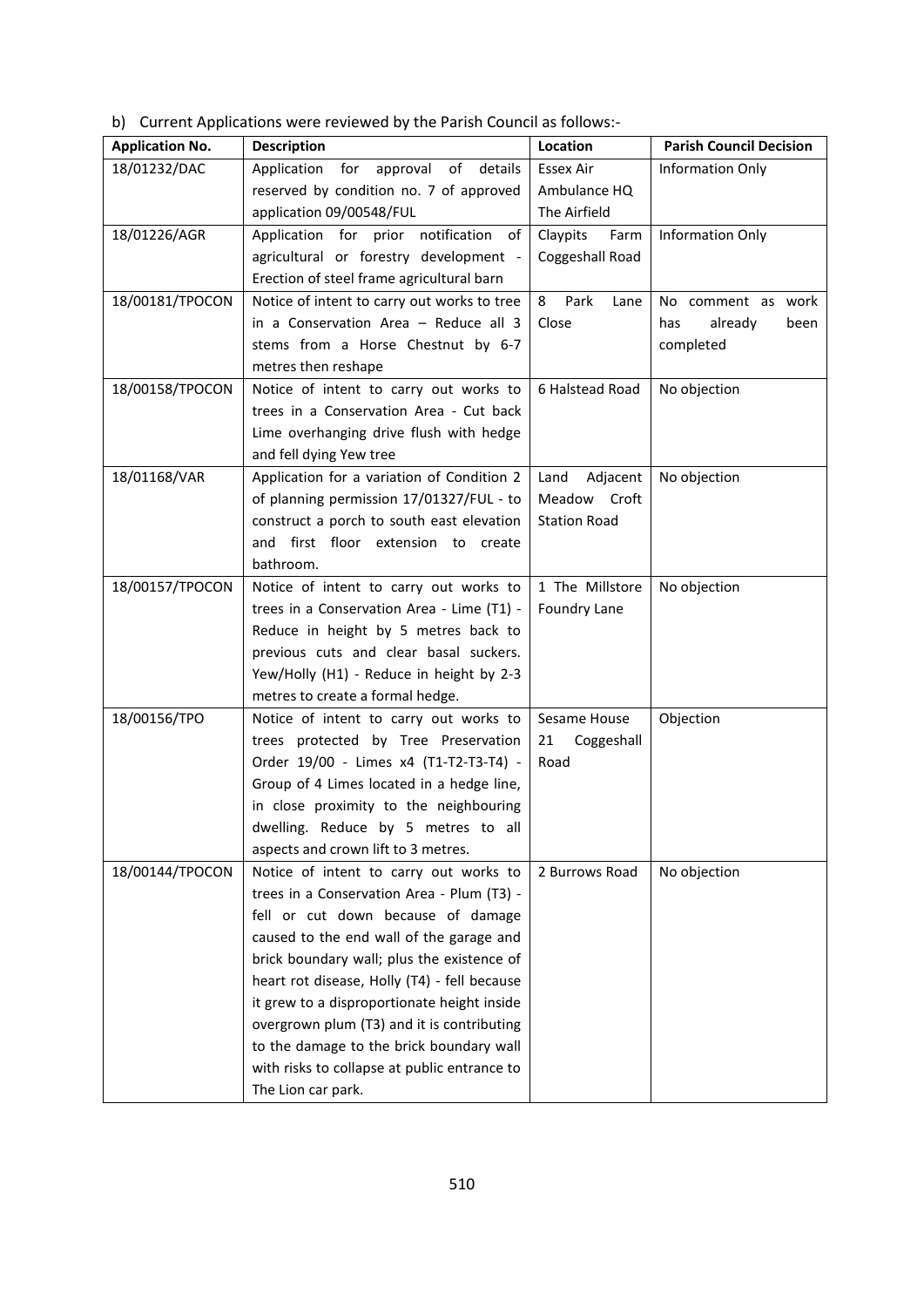b) Current Applications were reviewed by the Parish Council as follows:-

| <b>Application No.</b> | <b>Description</b>                           | Location            | <b>Parish Council Decision</b> |
|------------------------|----------------------------------------------|---------------------|--------------------------------|
| 18/01232/DAC           | Application for<br>of<br>approval<br>details | Essex Air           | Information Only               |
|                        | reserved by condition no. 7 of approved      | Ambulance HQ        |                                |
|                        | application 09/00548/FUL                     | The Airfield        |                                |
| 18/01226/AGR           | Application for prior notification<br>of     | Claypits<br>Farm    | Information Only               |
|                        | agricultural or forestry development -       | Coggeshall Road     |                                |
|                        | Erection of steel frame agricultural barn    |                     |                                |
| 18/00181/TPOCON        | Notice of intent to carry out works to tree  | Park<br>8<br>Lane   | No comment as work             |
|                        | in a Conservation Area - Reduce all 3        | Close               | already<br>has<br>been         |
|                        | stems from a Horse Chestnut by 6-7           |                     | completed                      |
|                        | metres then reshape                          |                     |                                |
| 18/00158/TPOCON        | Notice of intent to carry out works to       | 6 Halstead Road     | No objection                   |
|                        | trees in a Conservation Area - Cut back      |                     |                                |
|                        | Lime overhanging drive flush with hedge      |                     |                                |
|                        | and fell dying Yew tree                      |                     |                                |
| 18/01168/VAR           | Application for a variation of Condition 2   | Adjacent<br>Land    | No objection                   |
|                        | of planning permission 17/01327/FUL - to     | Meadow Croft        |                                |
|                        | construct a porch to south east elevation    | <b>Station Road</b> |                                |
|                        | and first floor extension to create          |                     |                                |
|                        | bathroom.                                    |                     |                                |
| 18/00157/TPOCON        | Notice of intent to carry out works to       | 1 The Millstore     | No objection                   |
|                        | trees in a Conservation Area - Lime (T1) -   | Foundry Lane        |                                |
|                        | Reduce in height by 5 metres back to         |                     |                                |
|                        | previous cuts and clear basal suckers.       |                     |                                |
|                        | Yew/Holly (H1) - Reduce in height by 2-3     |                     |                                |
|                        | metres to create a formal hedge.             |                     |                                |
| 18/00156/TPO           | Notice of intent to carry out works to       | Sesame House        | Objection                      |
|                        | trees protected by Tree Preservation         | Coggeshall<br>21    |                                |
|                        | Order 19/00 - Limes x4 (T1-T2-T3-T4) -       | Road                |                                |
|                        | Group of 4 Limes located in a hedge line,    |                     |                                |
|                        | in close proximity to the neighbouring       |                     |                                |
|                        | dwelling. Reduce by 5 metres to all          |                     |                                |
|                        | aspects and crown lift to 3 metres.          |                     |                                |
| 18/00144/TPOCON        | Notice of intent to carry out works to       | 2 Burrows Road      | No objection                   |
|                        | trees in a Conservation Area - Plum (T3) -   |                     |                                |
|                        | fell or cut down because of damage           |                     |                                |
|                        | caused to the end wall of the garage and     |                     |                                |
|                        | brick boundary wall; plus the existence of   |                     |                                |
|                        | heart rot disease, Holly (T4) - fell because |                     |                                |
|                        | it grew to a disproportionate height inside  |                     |                                |
|                        | overgrown plum (T3) and it is contributing   |                     |                                |
|                        | to the damage to the brick boundary wall     |                     |                                |
|                        | with risks to collapse at public entrance to |                     |                                |
|                        | The Lion car park.                           |                     |                                |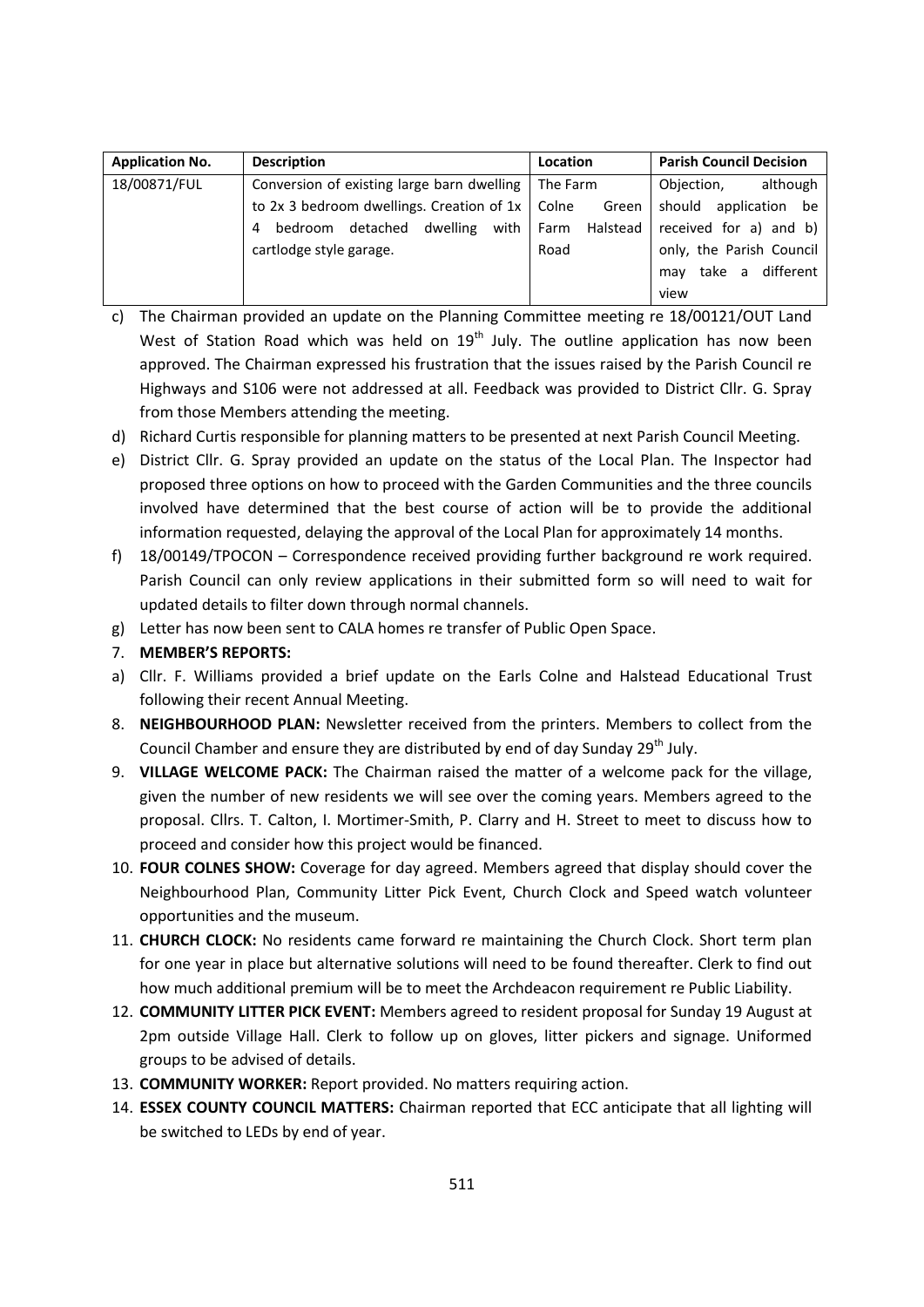| <b>Application No.</b> | <b>Description</b>                                  | Location         | <b>Parish Council Decision</b> |
|------------------------|-----------------------------------------------------|------------------|--------------------------------|
| 18/00871/FUL           | Conversion of existing large barn dwelling          | The Farm         | although<br>Objection,         |
|                        | to 2x 3 bedroom dwellings. Creation of $1x$   Colne | Green            | should<br>application be       |
|                        | dwelling<br>detached<br>with<br>bedroom<br>4        | Farm<br>Halstead | received for a) and b)         |
|                        | cartlodge style garage.                             | Road             | only, the Parish Council       |
|                        |                                                     |                  | different<br>take a<br>may     |
|                        |                                                     |                  | view                           |

- c) The Chairman provided an update on the Planning Committee meeting re 18/00121/OUT Land West of Station Road which was held on  $19<sup>th</sup>$  July. The outline application has now been approved. The Chairman expressed his frustration that the issues raised by the Parish Council re Highways and S106 were not addressed at all. Feedback was provided to District Cllr. G. Spray from those Members attending the meeting.
- d) Richard Curtis responsible for planning matters to be presented at next Parish Council Meeting.
- e) District Cllr. G. Spray provided an update on the status of the Local Plan. The Inspector had proposed three options on how to proceed with the Garden Communities and the three councils involved have determined that the best course of action will be to provide the additional information requested, delaying the approval of the Local Plan for approximately 14 months.
- f) 18/00149/TPOCON Correspondence received providing further background re work required. Parish Council can only review applications in their submitted form so will need to wait for updated details to filter down through normal channels.
- g) Letter has now been sent to CALA homes re transfer of Public Open Space.
- 7. **MEMBER'S REPORTS:**
- a) Cllr. F. Williams provided a brief update on the Earls Colne and Halstead Educational Trust following their recent Annual Meeting.
- 8. **NEIGHBOURHOOD PLAN:** Newsletter received from the printers. Members to collect from the Council Chamber and ensure they are distributed by end of day Sunday 29<sup>th</sup> July.
- 9. **VILLAGE WELCOME PACK:** The Chairman raised the matter of a welcome pack for the village, given the number of new residents we will see over the coming years. Members agreed to the proposal. Cllrs. T. Calton, I. Mortimer-Smith, P. Clarry and H. Street to meet to discuss how to proceed and consider how this project would be financed.
- 10. **FOUR COLNES SHOW:** Coverage for day agreed. Members agreed that display should cover the Neighbourhood Plan, Community Litter Pick Event, Church Clock and Speed watch volunteer opportunities and the museum.
- 11. **CHURCH CLOCK:** No residents came forward re maintaining the Church Clock. Short term plan for one year in place but alternative solutions will need to be found thereafter. Clerk to find out how much additional premium will be to meet the Archdeacon requirement re Public Liability.
- 12. **COMMUNITY LITTER PICK EVENT:** Members agreed to resident proposal for Sunday 19 August at 2pm outside Village Hall. Clerk to follow up on gloves, litter pickers and signage. Uniformed groups to be advised of details.
- 13. **COMMUNITY WORKER:** Report provided. No matters requiring action.
- 14. **ESSEX COUNTY COUNCIL MATTERS:** Chairman reported that ECC anticipate that all lighting will be switched to LEDs by end of year.